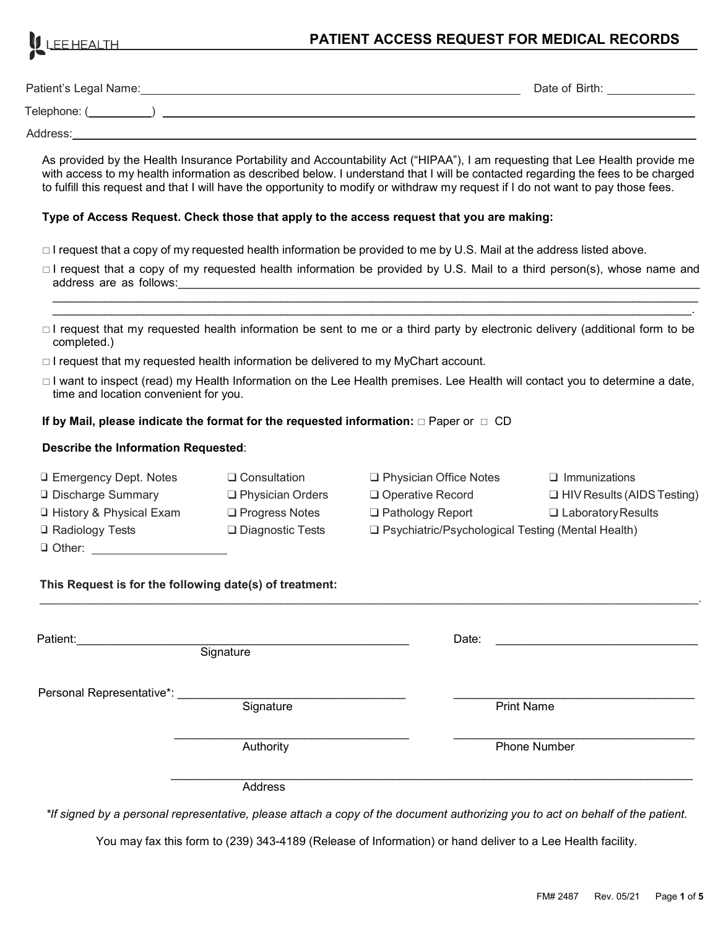

### **PATIENT ACCESS REQUEST FOR MEDICAL RECORDS**

| Patient's Legal Name: | Date of Birth: |
|-----------------------|----------------|
| Telephone: (          |                |
| Address:              |                |

As provided by the Health Insurance Portability and Accountability Act ("HIPAA"), I am requesting that Lee Health provide me with access to my health information as described below. I understand that I will be contacted regarding the fees to be charged to fulfill this request and that I will have the opportunity to modify or withdraw my request if I do not want to pay those fees.

#### **Type of Access Request. Check those that apply to the access request that you are making:**

- □ I request that a copy of my requested health information be provided to me by U.S. Mail at the address listed above.
- □ I request that a copy of my requested health information be provided by U.S. Mail to a third person(s), whose name and address are as follows:

\_\_\_\_\_\_\_\_\_\_\_\_\_\_\_\_\_\_\_\_\_\_\_\_\_\_\_\_\_\_\_\_\_\_\_\_\_\_\_\_\_\_\_\_\_\_\_\_\_\_\_\_\_\_\_\_\_\_\_\_\_\_\_\_\_\_\_\_\_\_\_\_\_\_\_\_\_\_\_\_\_\_\_\_\_\_\_\_\_\_\_\_\_\_\_\_\_\_\_ \_\_\_\_\_\_\_\_\_\_\_\_\_\_\_\_\_\_\_\_\_\_\_\_\_\_\_\_\_\_\_\_\_\_\_\_\_\_\_\_\_\_\_\_\_\_\_\_\_\_\_\_\_\_\_\_\_\_\_\_\_\_\_\_\_\_\_\_\_\_\_\_\_\_\_\_\_\_\_\_\_\_\_\_\_\_\_\_\_\_\_\_\_\_\_\_\_\_.

- $\Box$  I request that my requested health information be sent to me or a third party by electronic delivery (additional form to be completed.)
- $\Box$  I request that my requested health information be delivered to my MyChart account.
- □ I want to inspect (read) my Health Information on the Lee Health premises. Lee Health will contact you to determine a date, time and location convenient for you.

#### **If by Mail, please indicate the format for the requested information:**  $\Box$  **Paper or**  $\Box$  **CD**

#### **Describe the Information Requested**:

| □ Emergency Dept. Notes    | $\Box$ Consultation     | $\Box$ Physician Office Notes                       | $\Box$ Immunizations              |
|----------------------------|-------------------------|-----------------------------------------------------|-----------------------------------|
| <b>Q</b> Discharge Summary | $\Box$ Physician Orders | □ Operative Record                                  | $\Box$ HIV Results (AIDS Testing) |
| □ History & Physical Exam  | $\Box$ Progress Notes   | $\Box$ Pathology Report                             | $\Box$ Laboratory Results         |
| $\Box$ Radiology Tests     | $\Box$ Diagnostic Tests | □ Psychiatric/Psychological Testing (Mental Health) |                                   |
| $\Box$ Other:              |                         |                                                     |                                   |

\_\_\_\_\_\_\_\_\_\_\_\_\_\_\_\_\_\_\_\_\_\_\_\_\_\_\_\_\_\_\_\_\_\_\_\_\_\_\_\_\_\_\_\_\_\_\_\_\_\_\_\_\_\_\_\_\_\_\_\_\_\_\_\_\_\_\_\_\_\_\_\_\_\_\_\_\_\_\_\_\_\_\_\_\_\_\_\_\_\_\_\_\_\_\_\_\_\_\_\_\_.

#### **This Request is for the following date(s) of treatment:**

| Patient:                  | Signature | Date:             |  |
|---------------------------|-----------|-------------------|--|
| Personal Representative*: | Signature | <b>Print Name</b> |  |
|                           | Authority | Phone Number      |  |
|                           | Address   |                   |  |

*\*If signed by a personal representative, please attach a copy of the document authorizing you to act on behalf of the patient.*

You may fax this form to (239) 343-4189 (Release of Information) or hand deliver to a Lee Health facility.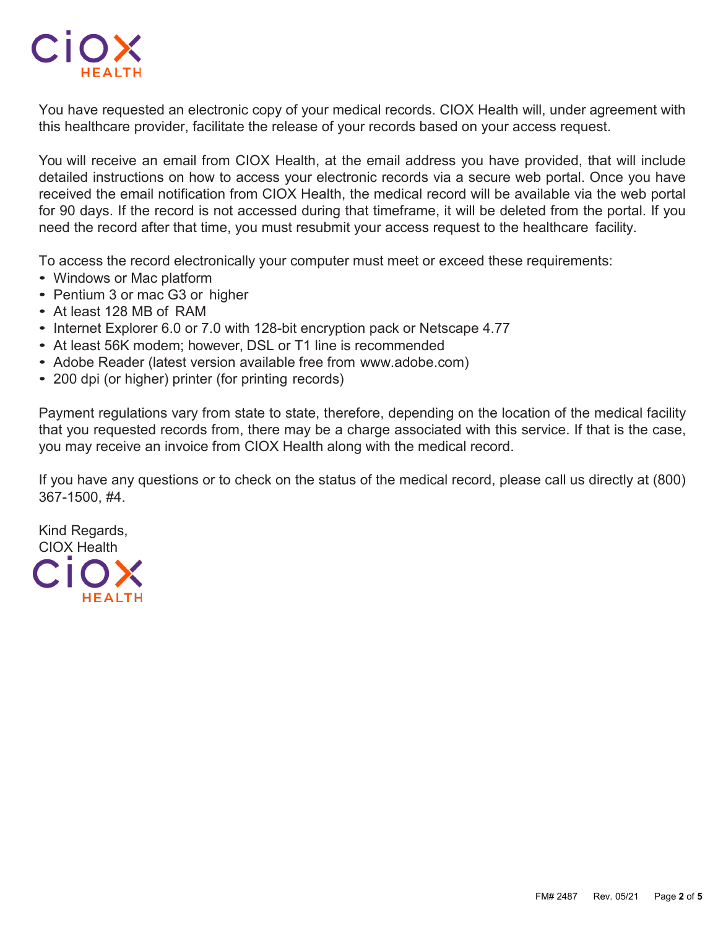

You have requested an electronic copy of your medical records. CIOX Health will, under agreement with this healthcare provider, facilitate the release of your records based on your access request.

You will receive an email from CIOX Health, at the email address you have provided, that will include detailed instructions on how to access your electronic records via a secure web portal. Once you have received the email notification from CIOX Health, the medical record will be available via the web portal for 90 days. If the record is not accessed during that timeframe, it will be deleted from the portal. If you need the record after that time, you must resubmit your access request to the healthcare facility.

To access the record electronically your computer must meet or exceed these requirements:

- Windows or Mac platform
- Pentium 3 or mac G3 or higher
- At least 128 MB of RAM
- Internet Explorer 6.0 or 7.0 with 128-bit encryption pack or Netscape 4.77
- At least 56K modem; however, DSL or T1 line is recommended
- Adobe Reader (latest version available free from www.adobe.com)
- 200 dpi (or higher) printer (for printing records)

Payment regulations vary from state to state, therefore, depending on the location of the medical facility that you requested records from, there may be a charge associated with this service. If that is the case, you may receive an invoice from CIOX Health along with the medical record.

If you have any questions or to check on the status of the medical record, please call us directly at (800) 367-1500, #4.

Kind Regards, CIOX Health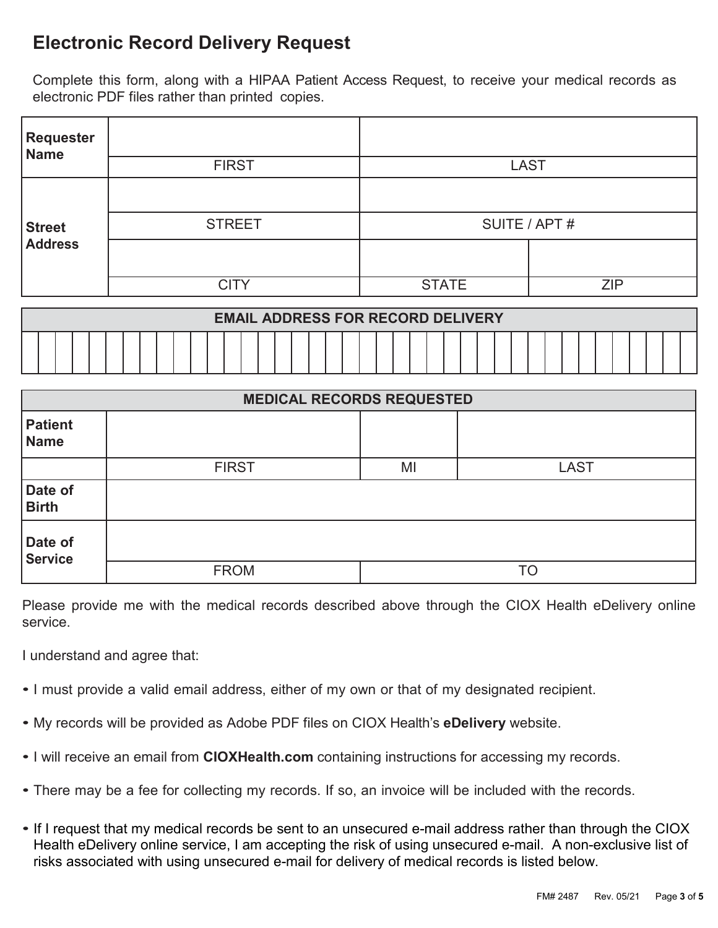# **Electronic Record Delivery Request**

Complete this form, along with a HIPAA Patient Access Request, to receive your medical records as electronic PDF files rather than printed copies.

| <b>Requester</b><br><b>Name</b> |               |               |            |  |
|---------------------------------|---------------|---------------|------------|--|
|                                 | <b>FIRST</b>  | <b>LAST</b>   |            |  |
|                                 |               |               |            |  |
| Street<br>Address               | <b>STREET</b> | SUITE / APT # |            |  |
|                                 |               |               |            |  |
|                                 | CITY          | <b>STATE</b>  | <b>ZIP</b> |  |

| <b>EMAIL ADDRESS FOR RECORD DELIVERY</b> |  |  |  |  |  |  |
|------------------------------------------|--|--|--|--|--|--|
|                                          |  |  |  |  |  |  |

| <b>MEDICAL RECORDS REQUESTED</b> |              |    |             |
|----------------------------------|--------------|----|-------------|
| <b>Patient</b><br>Name           |              |    |             |
|                                  | <b>FIRST</b> | MI | <b>LAST</b> |
| Date of<br><b>Birth</b>          |              |    |             |
| Date of<br><b>Service</b>        |              |    |             |
|                                  | <b>FROM</b>  |    | TO          |

Please provide me with the medical records described above through the CIOX Health eDelivery online service.

I understand and agree that:

- I must provide a valid email address, either of my own or that of my designated recipient.
- My records will be provided as Adobe PDF files on CIOX Health's **eDelivery** website.
- I will receive an email from **CIOXHealth.com** containing instructions for accessing my records.
- There may be a fee for collecting my records. If so, an invoice will be included with the records.
- If I request that my medical records be sent to an unsecured e-mail address rather than through the CIOX Health eDelivery online service, I am accepting the risk of using unsecured e-mail. A non-exclusive list of risks associated with using unsecured e-mail for delivery of medical records is listed below.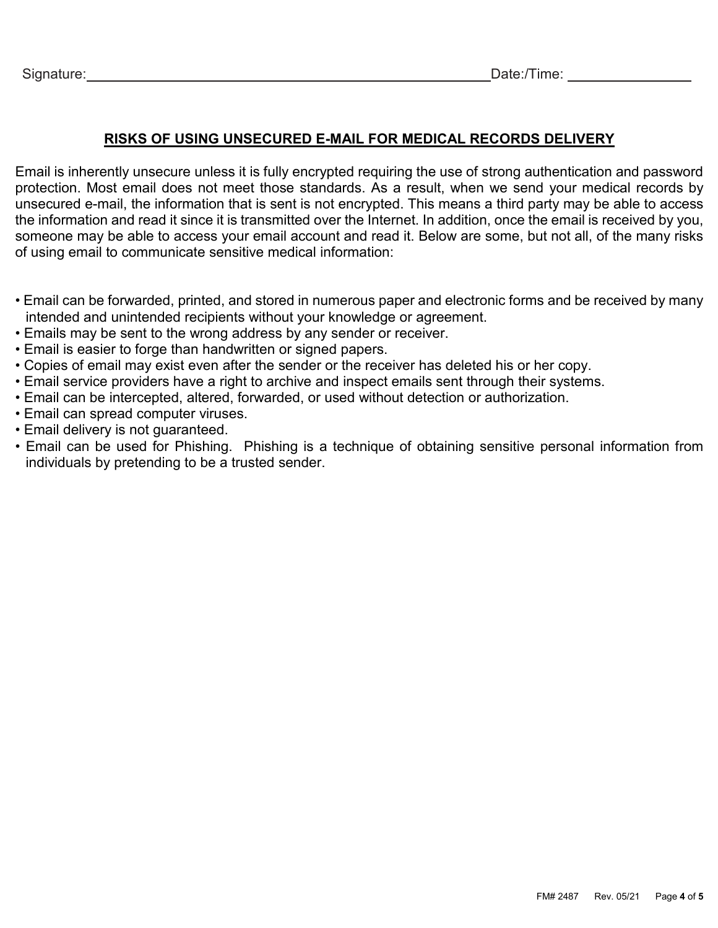## **RISKS OF USING UNSECURED E-MAIL FOR MEDICAL RECORDS DELIVERY**

Email is inherently unsecure unless it is fully encrypted requiring the use of strong authentication and password protection. Most email does not meet those standards. As a result, when we send your medical records by unsecured e-mail, the information that is sent is not encrypted. This means a third party may be able to access the information and read it since it is transmitted over the Internet. In addition, once the email is received by you, someone may be able to access your email account and read it. Below are some, but not all, of the many risks of using email to communicate sensitive medical information:

- Email can be forwarded, printed, and stored in numerous paper and electronic forms and be received by many intended and unintended recipients without your knowledge or agreement.
- Emails may be sent to the wrong address by any sender or receiver.
- Email is easier to forge than handwritten or signed papers.
- Copies of email may exist even after the sender or the receiver has deleted his or her copy.
- Email service providers have a right to archive and inspect emails sent through their systems.
- Email can be intercepted, altered, forwarded, or used without detection or authorization.
- Email can spread computer viruses.
- Email delivery is not guaranteed.
- Email can be used for Phishing. Phishing is a technique of obtaining sensitive personal information from individuals by pretending to be a trusted sender.